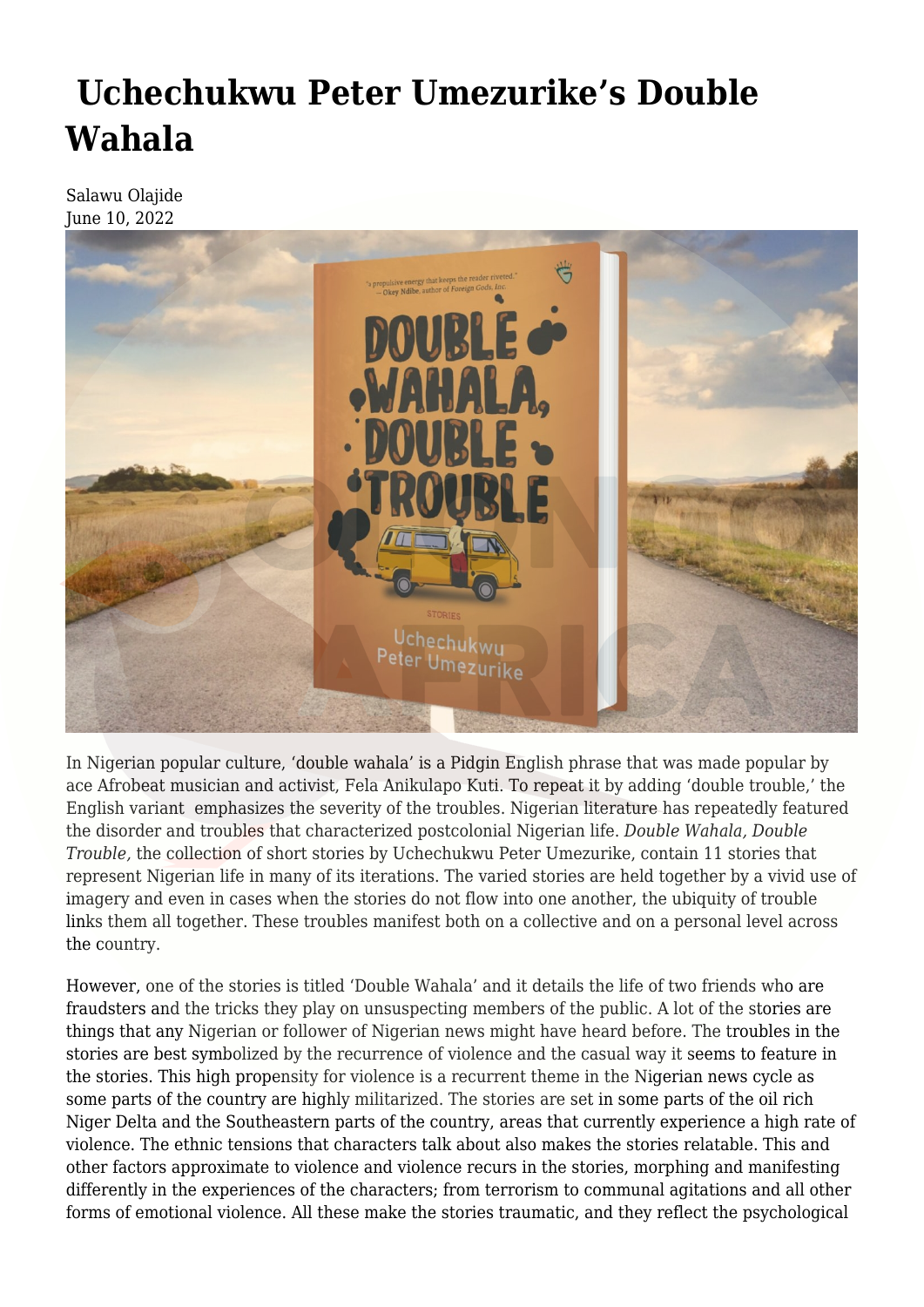## **[Uchechukwu Peter Umezurike's Double](https://olongoafrica.com/uchechukwu-peter-umezurikes-double-wahala/) [Wahala](https://olongoafrica.com/uchechukwu-peter-umezurikes-double-wahala/)**

Salawu Olajide June 10, 2022



In Nigerian popular culture, 'double wahala' is a Pidgin English phrase that was made popular by ace Afrobeat musician and activist, Fela Anikulapo Kuti. To repeat it by adding 'double trouble,' the English variant emphasizes the severity of the troubles. Nigerian literature has repeatedly featured the disorder and troubles that characterized postcolonial Nigerian life. *Double Wahala, Double Trouble,* the collection of short stories by Uchechukwu Peter Umezurike, contain 11 stories that represent Nigerian life in many of its iterations. The varied stories are held together by a vivid use of imagery and even in cases when the stories do not flow into one another, the ubiquity of trouble links them all together. These troubles manifest both on a collective and on a personal level across the country.

However, one of the stories is titled 'Double Wahala' and it details the life of two friends who are fraudsters and the tricks they play on unsuspecting members of the public. A lot of the stories are things that any Nigerian or follower of Nigerian news might have heard before. The troubles in the stories are best symbolized by the recurrence of violence and the casual way it seems to feature in the stories. This high propensity for violence is a recurrent theme in the Nigerian news cycle as some parts of the country are highly militarized. The stories are set in some parts of the oil rich Niger Delta and the Southeastern parts of the country, areas that currently experience a high rate of violence. The ethnic tensions that characters talk about also makes the stories relatable. This and other factors approximate to violence and violence recurs in the stories, morphing and manifesting differently in the experiences of the characters; from terrorism to communal agitations and all other forms of emotional violence. All these make the stories traumatic, and they reflect the psychological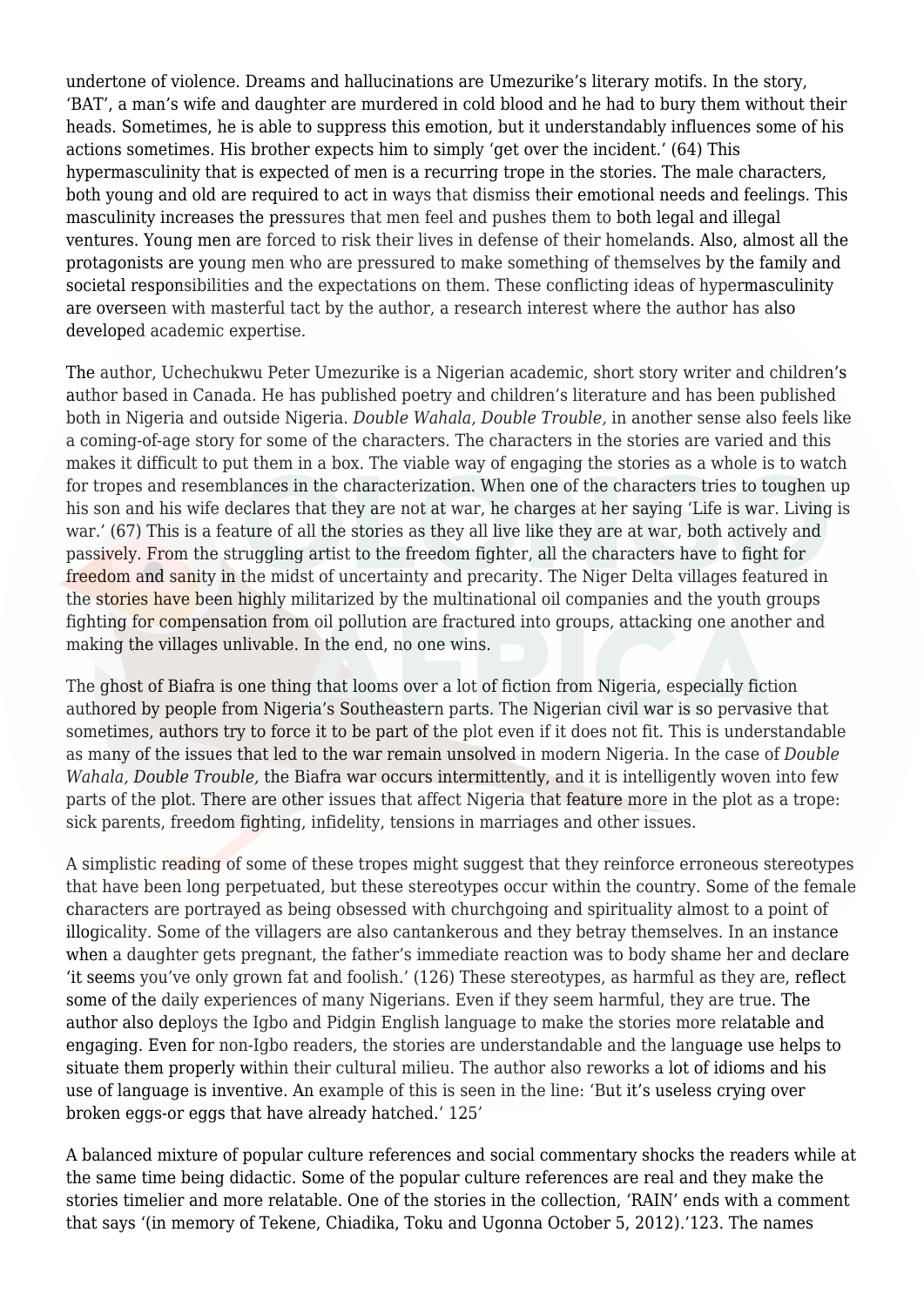undertone of violence. Dreams and hallucinations are Umezurike's literary motifs. In the story, 'BAT', a man's wife and daughter are murdered in cold blood and he had to bury them without their heads. Sometimes, he is able to suppress this emotion, but it understandably influences some of his actions sometimes. His brother expects him to simply 'get over the incident.' (64) This hypermasculinity that is expected of men is a recurring trope in the stories. The male characters, both young and old are required to act in ways that dismiss their emotional needs and feelings. This masculinity increases the pressures that men feel and pushes them to both legal and illegal ventures. Young men are forced to risk their lives in defense of their homelands. Also, almost all the protagonists are young men who are pressured to make something of themselves by the family and societal responsibilities and the expectations on them. These conflicting ideas of hypermasculinity are overseen with masterful tact by the author, a research interest where the author has also developed academic expertise.

The author, Uchechukwu Peter Umezurike is a Nigerian academic, short story writer and children's author based in Canada. He has published poetry and children's literature and has been published both in Nigeria and outside Nigeria. *Double Wahala, Double Trouble,* in another sense also feels like a coming-of-age story for some of the characters. The characters in the stories are varied and this makes it difficult to put them in a box. The viable way of engaging the stories as a whole is to watch for tropes and resemblances in the characterization. When one of the characters tries to toughen up his son and his wife declares that they are not at war, he charges at her saying 'Life is war. Living is war.' (67) This is a feature of all the stories as they all live like they are at war, both actively and passively. From the struggling artist to the freedom fighter, all the characters have to fight for freedom and sanity in the midst of uncertainty and precarity. The Niger Delta villages featured in the stories have been highly militarized by the multinational oil companies and the youth groups fighting for compensation from oil pollution are fractured into groups, attacking one another and making the villages unlivable. In the end, no one wins.

The ghost of Biafra is one thing that looms over a lot of fiction from Nigeria, especially fiction authored by people from Nigeria's Southeastern parts. The Nigerian civil war is so pervasive that sometimes, authors try to force it to be part of the plot even if it does not fit. This is understandable as many of the issues that led to the war remain unsolved in modern Nigeria. In the case of *Double Wahala, Double Trouble,* the Biafra war occurs intermittently, and it is intelligently woven into few parts of the plot. There are other issues that affect Nigeria that feature more in the plot as a trope: sick parents, freedom fighting, infidelity, tensions in marriages and other issues.

A simplistic reading of some of these tropes might suggest that they reinforce erroneous stereotypes that have been long perpetuated, but these stereotypes occur within the country. Some of the female characters are portrayed as being obsessed with churchgoing and spirituality almost to a point of illogicality. Some of the villagers are also cantankerous and they betray themselves. In an instance when a daughter gets pregnant, the father's immediate reaction was to body shame her and declare 'it seems you've only grown fat and foolish.' (126) These stereotypes, as harmful as they are, reflect some of the daily experiences of many Nigerians. Even if they seem harmful, they are true. The author also deploys the Igbo and Pidgin English language to make the stories more relatable and engaging. Even for non-Igbo readers, the stories are understandable and the language use helps to situate them properly within their cultural milieu. The author also reworks a lot of idioms and his use of language is inventive. An example of this is seen in the line: 'But it's useless crying over broken eggs-or eggs that have already hatched.' 125'

A balanced mixture of popular culture references and social commentary shocks the readers while at the same time being didactic. Some of the popular culture references are real and they make the stories timelier and more relatable. One of the stories in the collection, 'RAIN' ends with a comment that says '(in memory of Tekene, Chiadika, Toku and Ugonna October 5, 2012).'123. The names